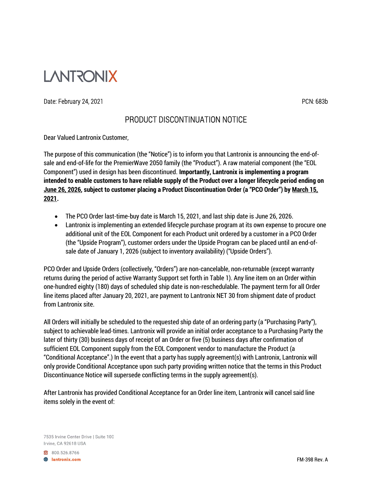

## Date: February 24, 2021 **PCN: 683b**

## PRODUCT DISCONTINUATION NOTICE

Dear Valued Lantronix Customer,

The purpose of this communication (the "Notice") is to inform you that Lantronix is announcing the end-ofsale and end-of-life for the PremierWave 2050 family (the "Product"). A raw material component (the "EOL Component") used in design has been discontinued. Importantly, Lantronix is implementing a program intended to enable customers to have reliable supply of the Product over a longer lifecycle period ending on June 26, 2026, subject to customer placing a Product Discontinuation Order (a "PCO Order") by March 15, 2021.

- The PCO Order last-time-buy date is March 15, 2021, and last ship date is June 26, 2026.
- Lantronix is implementing an extended lifecycle purchase program at its own expense to procure one additional unit of the EOL Component for each Product unit ordered by a customer in a PCO Order (the "Upside Program"), customer orders under the Upside Program can be placed until an end-ofsale date of January 1, 2026 (subject to inventory availability) ("Upside Orders").

PCO Order and Upside Orders (collectively, "Orders") are non-cancelable, non-returnable (except warranty returns during the period of active Warranty Support set forth in Table 1). Any line item on an Order within one-hundred eighty (180) days of scheduled ship date is non-reschedulable. The payment term for all Order line items placed after January 20, 2021, are payment to Lantronix NET 30 from shipment date of product from Lantronix site.

All Orders will initially be scheduled to the requested ship date of an ordering party (a "Purchasing Party"), subject to achievable lead-times. Lantronix will provide an initial order acceptance to a Purchasing Party the later of thirty (30) business days of receipt of an Order or five (5) business days after confirmation of sufficient EOL Component supply from the EOL Component vendor to manufacture the Product (a "Conditional Acceptance".) In the event that a party has supply agreement(s) with Lantronix, Lantronix will only provide Conditional Acceptance upon such party providing written notice that the terms in this Product Discontinuance Notice will supersede conflicting terms in the supply agreement(s).

After Lantronix has provided Conditional Acceptance for an Order line item, Lantronix will cancel said line items solely in the event of:

7535 Irvine Center Drive | Suite 100 Irvine, CA 92618 USA

800.526.8766

**A** lantronix.com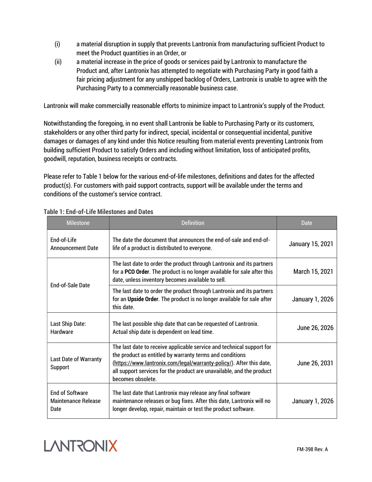- (i) a material disruption in supply that prevents Lantronix from manufacturing sufficient Product to meet the Product quantities in an Order, or
- (ii) a material increase in the price of goods or services paid by Lantronix to manufacture the Product and, after Lantronix has attempted to negotiate with Purchasing Party in good faith a fair pricing adjustment for any unshipped backlog of Orders, Lantronix is unable to agree with the Purchasing Party to a commercially reasonable business case.

Lantronix will make commercially reasonable efforts to minimize impact to Lantronix's supply of the Product.

Notwithstanding the foregoing, in no event shall Lantronix be liable to Purchasing Party or its customers, stakeholders or any other third party for indirect, special, incidental or consequential incidental, punitive damages or damages of any kind under this Notice resulting from material events preventing Lantronix from building sufficient Product to satisfy Orders and including without limitation, loss of anticipated profits, goodwill, reputation, business receipts or contracts.

Please refer to Table 1 below for the various end-of-life milestones, definitions and dates for the affected product(s). For customers with paid support contracts, support will be available under the terms and conditions of the customer's service contract.

| <b>Milestone</b>                                             | <b>Definition</b>                                                                                                                                                                                                                                                                                       | Date                    |
|--------------------------------------------------------------|---------------------------------------------------------------------------------------------------------------------------------------------------------------------------------------------------------------------------------------------------------------------------------------------------------|-------------------------|
| End-of-Life<br><b>Announcement Date</b>                      | The date the document that announces the end-of-sale and end-of-<br>life of a product is distributed to everyone.                                                                                                                                                                                       | <b>January 15, 2021</b> |
| <b>End-of-Sale Date</b>                                      | The last date to order the product through Lantronix and its partners<br>for a PCO Order. The product is no longer available for sale after this<br>date, unless inventory becomes available to sell.                                                                                                   | March 15, 2021          |
|                                                              | The last date to order the product through Lantronix and its partners<br>for an Upside Order. The product is no longer available for sale after<br>this date.                                                                                                                                           | <b>January 1, 2026</b>  |
| Last Ship Date:<br>Hardware                                  | The last possible ship date that can be requested of Lantronix.<br>Actual ship date is dependent on lead time.                                                                                                                                                                                          | June 26, 2026           |
| <b>Last Date of Warranty</b><br>Support                      | The last date to receive applicable service and technical support for<br>the product as entitled by warranty terms and conditions<br>(https://www.lantronix.com/legal/warranty-policy/). After this date,<br>all support services for the product are unavailable, and the product<br>becomes obsolete. | June 26, 2031           |
| <b>Fnd of Software</b><br><b>Maintenance Release</b><br>Date | The last date that Lantronix may release any final software<br>maintenance releases or bug fixes. After this date, Lantronix will no<br>longer develop, repair, maintain or test the product software.                                                                                                  | <b>January 1, 2026</b>  |

Table 1: End-of-Life Milestones and Dates

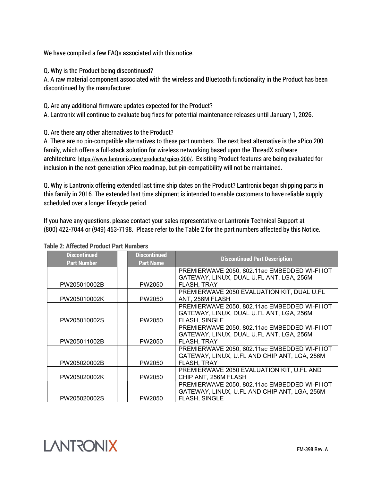We have compiled a few FAQs associated with this notice.

Q. Why is the Product being discontinued?

A. A raw material component associated with the wireless and Bluetooth functionality in the Product has been discontinued by the manufacturer.

Q. Are any additional firmware updates expected for the Product?

A. Lantronix will continue to evaluate bug fixes for potential maintenance releases until January 1, 2026.

Q. Are there any other alternatives to the Product?

A. There are no pin-compatible alternatives to these part numbers. The next best alternative is the xPico 200 family, which offers a full-stack solution for wireless networking based upon the ThreadX software architecture: https://www.lantronix.com/products/xpico-200/. Existing Product features are being evaluated for inclusion in the next-generation xPico roadmap, but pin-compatibility will not be maintained.

Q. Why is Lantronix offering extended last time ship dates on the Product? Lantronix began shipping parts in this family in 2016. The extended last time shipment is intended to enable customers to have reliable supply scheduled over a longer lifecycle period.

If you have any questions, please contact your sales representative or Lantronix Technical Support at (800) 422-7044 or (949) 453-7198. Please refer to the Table 2 for the part numbers affected by this Notice.

| <b>Discontinued</b><br><b>Part Number</b> | <b>Discontinued</b><br><b>Part Name</b> | <b>Discontinued Part Description</b>          |
|-------------------------------------------|-----------------------------------------|-----------------------------------------------|
|                                           |                                         | PREMIERWAVE 2050, 802.11ac EMBEDDED WI-FI IOT |
|                                           |                                         | GATEWAY, LINUX, DUAL U.FL ANT, LGA, 256M      |
| PW205010002B                              | PW2050                                  | FLASH, TRAY                                   |
|                                           |                                         | PREMIERWAVE 2050 EVALUATION KIT, DUAL U.FL    |
| PW205010002K                              | PW2050                                  | ANT, 256M FLASH                               |
|                                           |                                         | PREMIERWAVE 2050, 802.11ac EMBEDDED WI-FI IOT |
|                                           |                                         | GATEWAY, LINUX, DUAL U.FL ANT, LGA, 256M      |
| PW205010002S                              | PW2050                                  | <b>FLASH, SINGLE</b>                          |
|                                           |                                         | PREMIERWAVE 2050, 802.11ac EMBEDDED WI-FI IOT |
|                                           |                                         | GATEWAY, LINUX, DUAL U.FL ANT, LGA, 256M      |
| PW205011002B                              | PW2050                                  | FLASH, TRAY                                   |
|                                           |                                         | PREMIERWAVE 2050, 802.11ac EMBEDDED WI-FI IOT |
|                                           |                                         | GATEWAY, LINUX, U.FL AND CHIP ANT, LGA, 256M  |
| PW205020002B                              | PW2050                                  | FLASH, TRAY                                   |
|                                           |                                         | PREMIERWAVE 2050 EVALUATION KIT, U.FL AND     |
| PW205020002K                              | PW2050                                  | CHIP ANT. 256M FLASH                          |
|                                           |                                         | PREMIERWAVE 2050, 802.11ac EMBEDDED WI-FI IOT |
|                                           |                                         | GATEWAY, LINUX, U.FL AND CHIP ANT, LGA, 256M  |
| PW205020002S                              | PW2050                                  | <b>FLASH, SINGLE</b>                          |

## Table 2: Affected Product Part Numbers